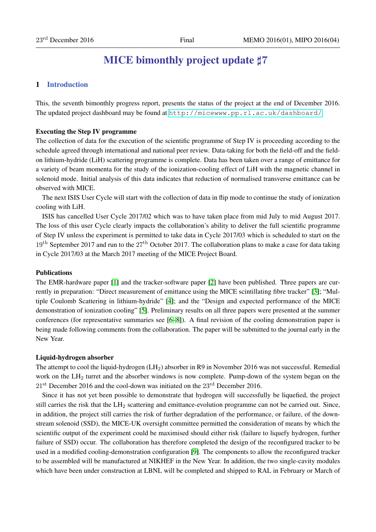# MICE bimonthly project update  $\sharp 7$

## 1 Introduction

This, the seventh bimonthly progress report, presents the status of the project at the end of December 2016. The updated project dashboard may be found at <http://micewww.pp.rl.ac.uk/dashboard/>.

#### Executing the Step IV programme

The collection of data for the execution of the scientific programme of Step IV is proceeding according to the schedule agreed through international and national peer review. Data-taking for both the field-off and the fieldon lithium-hydride (LiH) scattering programme is complete. Data has been taken over a range of emittance for a variety of beam momenta for the study of the ionization-cooling effect of LiH with the magnetic channel in solenoid mode. Initial analysis of this data indicates that reduction of normalised transverse emittance can be observed with MICE.

The next ISIS User Cycle will start with the collection of data in flip mode to continue the study of ionization cooling with LiH.

ISIS has cancelled User Cycle 2017/02 which was to have taken place from mid July to mid August 2017. The loss of this user Cycle clearly impacts the collaboration's ability to deliver the full scientific programme of Step IV unless the experiment is permitted to take data in Cycle 2017/03 which is scheduled to start on the  $19<sup>th</sup>$  September 2017 and run to the  $27<sup>th</sup>$  October 2017. The collaboration plans to make a case for data taking in Cycle 2017/03 at the March 2017 meeting of the MICE Project Board.

#### Publications

The EMR-hardware paper [\[1\]](#page-9-0) and the tracker-software paper [\[2\]](#page-9-1) have been published. Three papers are currently in preparation: "Direct measurement of emittance using the MICE scintillating fibre tracker" [\[3\]](#page-9-2); "Multiple Coulomb Scattering in lithium-hydride" [\[4\]](#page-9-3); and the "Design and expected performance of the MICE demonstration of ionization cooling" [\[5\]](#page-9-4). Preliminary results on all three papers were presented at the summer conferences (for representative summaries see [\[6](#page-9-5)[–8\]](#page-9-6)). A final revision of the cooling demonstration paper is being made following comments from the collaboration. The paper will be submitted to the journal early in the New Year.

#### Liquid-hydrogen absorber

The attempt to cool the liquid-hydrogen (LH<sub>2</sub>) absorber in R9 in November 2016 was not successful. Remedial work on the LH<sub>2</sub> turret and the absorber windows is now complete. Pump-down of the system began on the  $21<sup>st</sup>$  December 2016 and the cool-down was initiated on the  $23<sup>rd</sup>$  December 2016.

Since it has not yet been possible to demonstrate that hydrogen will successfully be liquefied, the project still carries the risk that the LH<sup>2</sup> scattering and emittance-evolution programme can not be carried out. Since, in addition, the project still carries the risk of further degradation of the performance, or failure, of the downstream solenoid (SSD), the MICE-UK oversight committee permitted the consideration of means by which the scientific output of the experiment could be maximised should either risk (failure to liquefy hydrogen, further failure of SSD) occur. The collaboration has therefore completed the design of the reconfigured tracker to be used in a modified cooling-demonstration configuration [\[9\]](#page-9-7). The components to allow the reconfigured tracker to be assembled will be manufactured at NIKHEF in the New Year. In addition, the two single-cavity modules which have been under construction at LBNL will be completed and shipped to RAL in February or March of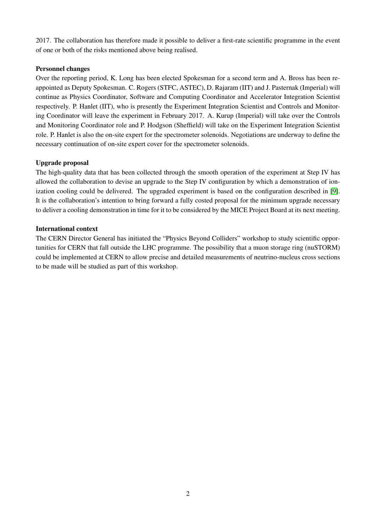2017. The collaboration has therefore made it possible to deliver a first-rate scientific programme in the event of one or both of the risks mentioned above being realised.

## Personnel changes

Over the reporting period, K. Long has been elected Spokesman for a second term and A. Bross has been reappointed as Deputy Spokesman. C. Rogers (STFC, ASTEC), D. Rajaram (IIT) and J. Pasternak (Imperial) will continue as Physics Coordinator, Software and Computing Coordinator and Accelerator Integration Scientist respectively. P. Hanlet (IIT), who is presently the Experiment Integration Scientist and Controls and Monitoring Coordinator will leave the experiment in February 2017. A. Kurup (Imperial) will take over the Controls and Monitoring Coordinator role and P. Hodgson (Sheffield) will take on the Experiment Integration Scientist role. P. Hanlet is also the on-site expert for the spectrometer solenoids. Negotiations are underway to define the necessary continuation of on-site expert cover for the spectrometer solenoids.

## Upgrade proposal

The high-quality data that has been collected through the smooth operation of the experiment at Step IV has allowed the collaboration to devise an upgrade to the Step IV configuration by which a demonstration of ionization cooling could be delivered. The upgraded experiment is based on the configuration described in [\[9\]](#page-9-7). It is the collaboration's intention to bring forward a fully costed proposal for the minimum upgrade necessary to deliver a cooling demonstration in time for it to be considered by the MICE Project Board at its next meeting.

## International context

The CERN Director General has initiated the "Physics Beyond Colliders" workshop to study scientific opportunities for CERN that fall outside the LHC programme. The possibility that a muon storage ring (nuSTORM) could be implemented at CERN to allow precise and detailed measurements of neutrino-nucleus cross sections to be made will be studied as part of this workshop.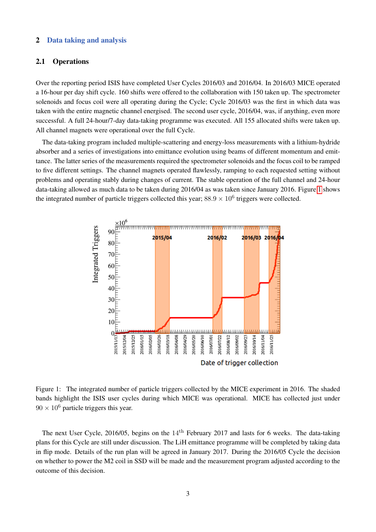## 2 Data taking and analysis

## 2.1 Operations

Over the reporting period ISIS have completed User Cycles 2016/03 and 2016/04. In 2016/03 MICE operated a 16-hour per day shift cycle. 160 shifts were offered to the collaboration with 150 taken up. The spectrometer solenoids and focus coil were all operating during the Cycle; Cycle 2016/03 was the first in which data was taken with the entire magnetic channel energised. The second user cycle, 2016/04, was, if anything, even more successful. A full 24-hour/7-day data-taking programme was executed. All 155 allocated shifts were taken up. All channel magnets were operational over the full Cycle.

The data-taking program included multiple-scattering and energy-loss measurements with a lithium-hydride absorber and a series of investigations into emittance evolution using beams of different momentum and emittance. The latter series of the measurements required the spectrometer solenoids and the focus coil to be ramped to five different settings. The channel magnets operated flawlessly, ramping to each requested setting without problems and operating stably during changes of current. The stable operation of the full channel and 24-hour data-taking allowed as much data to be taken during 2016/04 as was taken since January 2016. Figure [1](#page-2-0) shows the integrated number of particle triggers collected this year;  $88.9 \times 10^6$  triggers were collected.



<span id="page-2-0"></span>Figure 1: The integrated number of particle triggers collected by the MICE experiment in 2016. The shaded bands highlight the ISIS user cycles during which MICE was operational. MICE has collected just under  $90 \times 10^6$  particle triggers this year.

The next User Cycle, 2016/05, begins on the 14<sup>th</sup> February 2017 and lasts for 6 weeks. The data-taking plans for this Cycle are still under discussion. The LiH emittance programme will be completed by taking data in flip mode. Details of the run plan will be agreed in January 2017. During the 2016/05 Cycle the decision on whether to power the M2 coil in SSD will be made and the measurement program adjusted according to the outcome of this decision.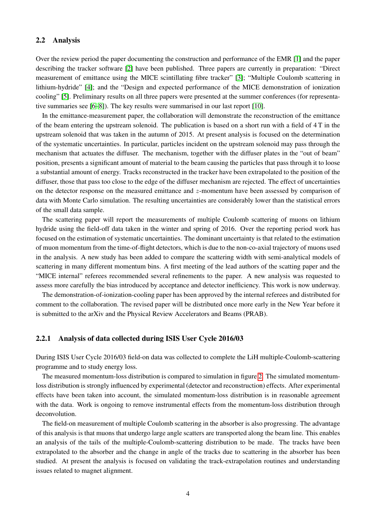#### 2.2 Analysis

Over the review period the paper documenting the construction and performance of the EMR [\[1\]](#page-9-0) and the paper describing the tracker software [\[2\]](#page-9-1) have been published. Three papers are currently in preparation: "Direct measurement of emittance using the MICE scintillating fibre tracker" [\[3\]](#page-9-2); "Multiple Coulomb scattering in lithium-hydride" [\[4\]](#page-9-3); and the "Design and expected performance of the MICE demonstration of ionization cooling" [\[5\]](#page-9-4). Preliminary results on all three papers were presented at the summer conferences (for representative summaries see [\[6–](#page-9-5)[8\]](#page-9-6)). The key results were summarised in our last report [\[10\]](#page-9-8).

In the emittance-measurement paper, the collaboration will demonstrate the reconstruction of the emittance of the beam entering the upstream solenoid. The publication is based on a short run with a field of 4 T in the upstream solenoid that was taken in the autumn of 2015. At present analysis is focused on the determination of the systematic uncertainties. In particular, particles incident on the upstream solenoid may pass through the mechanism that actuates the diffuser. The mechanism, together with the diffuser plates in the "out of beam" position, presents a significant amount of material to the beam causing the particles that pass through it to loose a substantial amount of energy. Tracks reconstructed in the tracker have been extrapolated to the position of the diffuser, those that pass too close to the edge of the diffuser mechanism are rejected. The effect of uncertainties on the detector response on the measured emittance and z-momentum have been assessed by comparison of data with Monte Carlo simulation. The resulting uncertainties are considerably lower than the statistical errors of the small data sample.

The scattering paper will report the measurements of multiple Coulomb scattering of muons on lithium hydride using the field-off data taken in the winter and spring of 2016. Over the reporting period work has focused on the estimation of systematic uncertainties. The dominant uncertainty is that related to the estimation of muon momentum from the time-of-flight detectors, which is due to the non-co-axial trajectory of muons used in the analysis. A new study has been added to compare the scattering width with semi-analytical models of scattering in many different momentum bins. A first meeting of the lead authors of the scatting paper and the "MICE internal" referees recommended several refinements to the paper. A new analysis was requested to assess more carefully the bias introduced by acceptance and detector inefficiency. This work is now underway.

The demonstration-of-ionization-cooling paper has been approved by the internal referees and distributed for comment to the collaboration. The revised paper will be distributed once more early in the New Year before it is submitted to the arXiv and the Physical Review Accelerators and Beams (PRAB).

#### 2.2.1 Analysis of data collected during ISIS User Cycle 2016/03

During ISIS User Cycle 2016/03 field-on data was collected to complete the LiH multiple-Coulomb-scattering programme and to study energy loss.

The measured momentum-loss distribution is compared to simulation in figure [2.](#page-4-0) The simulated momentumloss distribution is strongly influenced by experimental (detector and reconstruction) effects. After experimental effects have been taken into account, the simulated momentum-loss distribution is in reasonable agreement with the data. Work is ongoing to remove instrumental effects from the momentum-loss distribution through deconvolution.

The field-on measurement of multiple Coulomb scattering in the absorber is also progressing. The advantage of this analysis is that muons that undergo large angle scatters are transported along the beam line. This enables an analysis of the tails of the multiple-Coulomb-scattering distribution to be made. The tracks have been extrapolated to the absorber and the change in angle of the tracks due to scattering in the absorber has been studied. At present the analysis is focused on validating the track-extrapolation routines and understanding issues related to magnet alignment.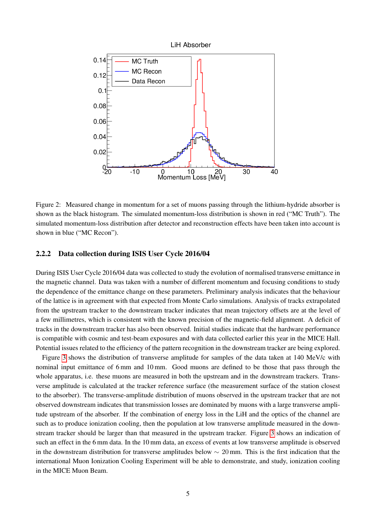

<span id="page-4-0"></span>Figure 2: Measured change in momentum for a set of muons passing through the lithium-hydride absorber is shown as the black histogram. The simulated momentum-loss distribution is shown in red ("MC Truth"). The simulated momentum-loss distribution after detector and reconstruction effects have been taken into account is shown in blue ("MC Recon").

## 2.2.2 Data collection during ISIS User Cycle 2016/04

During ISIS User Cycle 2016/04 data was collected to study the evolution of normalised transverse emittance in the magnetic channel. Data was taken with a number of different momentum and focusing conditions to study the dependence of the emittance change on these parameters. Preliminary analysis indicates that the behaviour of the lattice is in agreement with that expected from Monte Carlo simulations. Analysis of tracks extrapolated from the upstream tracker to the downstream tracker indicates that mean trajectory offsets are at the level of a few millimetres, which is consistent with the known precision of the magnetic-field alignment. A deficit of tracks in the downstream tracker has also been observed. Initial studies indicate that the hardware performance is compatible with cosmic and test-beam exposures and with data collected earlier this year in the MICE Hall. Potential issues related to the efficiency of the pattern recognition in the downstream tracker are being explored.

Figure [3](#page-5-0) shows the distribution of transverse amplitude for samples of the data taken at 140 MeV/c with nominal input emittance of 6 mm and 10 mm. Good muons are defined to be those that pass through the whole apparatus, i.e. these muons are measured in both the upstream and in the downstream trackers. Transverse amplitude is calculated at the tracker reference surface (the measurement surface of the station closest to the absorber). The transverse-amplitude distribution of muons observed in the upstream tracker that are not observed downstream indicates that transmission losses are dominated by muons with a large transverse amplitude upstream of the absorber. If the combination of energy loss in the LiH and the optics of the channel are such as to produce ionization cooling, then the population at low transverse amplitude measured in the downstream tracker should be larger than that measured in the upstream tracker. Figure [3](#page-5-0) shows an indication of such an effect in the 6 mm data. In the 10 mm data, an excess of events at low transverse amplitude is observed in the downstream distribution for transverse amplitudes below  $\sim 20$  mm. This is the first indication that the international Muon Ionization Cooling Experiment will be able to demonstrate, and study, ionization cooling in the MICE Muon Beam.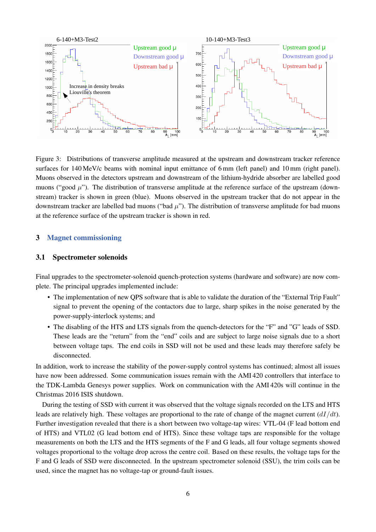

<span id="page-5-0"></span>Figure 3: Distributions of transverse amplitude measured at the upstream and downstream tracker reference surfaces for 140 MeV/c beams with nominal input emittance of 6 mm (left panel) and 10 mm (right panel). Muons observed in the detectors upstream and downstream of the lithium-hydride absorber are labelled good muons ("good  $\mu$ "). The distribution of transverse amplitude at the reference surface of the upstream (downstream) tracker is shown in green (blue). Muons observed in the upstream tracker that do not appear in the downstream tracker are labelled bad muons ("bad  $\mu$ "). The distribution of transverse amplitude for bad muons at the reference surface of the upstream tracker is shown in red.

## 3 Magnet commissioning

#### 3.1 Spectrometer solenoids

Final upgrades to the spectrometer-solenoid quench-protection systems (hardware and software) are now complete. The principal upgrades implemented include:

- The implementation of new QPS software that is able to validate the duration of the "External Trip Fault" signal to prevent the opening of the contactors due to large, sharp spikes in the noise generated by the power-supply-interlock systems; and
- The disabling of the HTS and LTS signals from the quench-detectors for the "F" and "G" leads of SSD. These leads are the "return" from the "end" coils and are subject to large noise signals due to a short between voltage taps. The end coils in SSD will not be used and these leads may therefore safely be disconnected.

In addition, work to increase the stability of the power-supply control systems has continued; almost all issues have now been addressed. Some communication issues remain with the AMI 420 controllers that interface to the TDK-Lambda Genesys power supplies. Work on communication with the AMI 420s will continue in the Christmas 2016 ISIS shutdown.

During the testing of SSD with current it was observed that the voltage signals recorded on the LTS and HTS leads are relatively high. These voltages are proportional to the rate of change of the magnet current  $\left(\frac{dI}{dt}\right)$ . Further investigation revealed that there is a short between two voltage-tap wires: VTL-04 (F lead bottom end of HTS) and VTL02 (G lead bottom end of HTS). Since these voltage taps are responsible for the voltage measurements on both the LTS and the HTS segments of the F and G leads, all four voltage segments showed voltages proportional to the voltage drop across the centre coil. Based on these results, the voltage taps for the F and G leads of SSD were disconnected. In the upstream spectrometer solenoid (SSU), the trim coils can be used, since the magnet has no voltage-tap or ground-fault issues.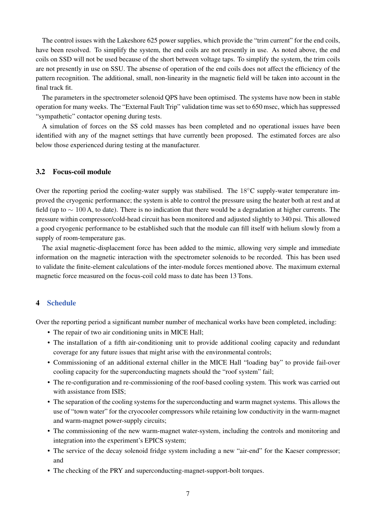The control issues with the Lakeshore 625 power supplies, which provide the "trim current" for the end coils, have been resolved. To simplify the system, the end coils are not presently in use. As noted above, the end coils on SSD will not be used because of the short between voltage taps. To simplify the system, the trim coils are not presently in use on SSU. The absense of operation of the end coils does not affect the efficiency of the pattern recognition. The additional, small, non-linearity in the magnetic field will be taken into account in the final track fit.

The parameters in the spectrometer solenoid QPS have been optimised. The systems have now been in stable operation for many weeks. The "External Fault Trip" validation time was set to 650 msec, which has suppressed "sympathetic" contactor opening during tests.

A simulation of forces on the SS cold masses has been completed and no operational issues have been identified with any of the magnet settings that have currently been proposed. The estimated forces are also below those experienced during testing at the manufacturer.

## 3.2 Focus-coil module

Over the reporting period the cooling-water supply was stabilised. The  $18\degree$ C supply-water temperature improved the cryogenic performance; the system is able to control the pressure using the heater both at rest and at field (up to  $\sim 100$  A, to date). There is no indication that there would be a degradation at higher currents. The pressure within compressor/cold-head circuit has been monitored and adjusted slightly to 340 psi. This allowed a good cryogenic performance to be established such that the module can fill itself with helium slowly from a supply of room-temperature gas.

The axial magnetic-displacement force has been added to the mimic, allowing very simple and immediate information on the magnetic interaction with the spectrometer solenoids to be recorded. This has been used to validate the finite-element calculations of the inter-module forces mentioned above. The maximum external magnetic force measured on the focus-coil cold mass to date has been 13 Tons.

## 4 Schedule

Over the reporting period a significant number number of mechanical works have been completed, including:

- The repair of two air conditioning units in MICE Hall;
- The installation of a fifth air-conditioning unit to provide additional cooling capacity and redundant coverage for any future issues that might arise with the environmental controls;
- Commissioning of an additional external chiller in the MICE Hall "loading bay" to provide fail-over cooling capacity for the superconducting magnets should the "roof system" fail;
- The re-configuration and re-commissioning of the roof-based cooling system. This work was carried out with assistance from ISIS;
- The separation of the cooling systems for the superconducting and warm magnet systems. This allows the use of "town water" for the cryocooler compressors while retaining low conductivity in the warm-magnet and warm-magnet power-supply circuits;
- The commissioning of the new warm-magnet water-system, including the controls and monitoring and integration into the experiment's EPICS system;
- The service of the decay solenoid fridge system including a new "air-end" for the Kaeser compressor; and
- The checking of the PRY and superconducting-magnet-support-bolt torques.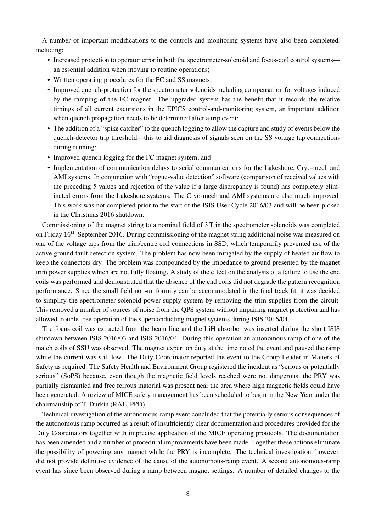A number of important modifications to the controls and monitoring systems have also been completed, including:

- Increased protection to operator error in both the spectrometer-solenoid and focus-coil control systems an essential addition when moving to routine operations;
- Written operating procedures for the FC and SS magnets;
- Improved quench-protection for the spectrometer solenoids including compensation for voltages induced by the ramping of the FC magnet. The upgraded system has the benefit that it records the relative timings of all current excursions in the EPICS control-and-monitoring system, an important addition when quench propagation needs to be determined after a trip event;
- The addition of a "spike catcher" to the quench logging to allow the capture and study of events below the quench-detector trip threshold—this to aid diagnosis of signals seen on the SS voltage tap connections during running;
- Improved quench logging for the FC magnet system; and
- Implementation of communication delays to serial communications for the Lakeshore, Cryo-mech and AMI systems. In conjunction with "rogue-value detection" software (comparison of received values with the preceding 5 values and rejection of the value if a large discrepancy is found) has completely eliminated errors from the Lakeshore systems. The Cryo-mech and AMI systems are also much improved. This work was not completed prior to the start of the ISIS User Cycle 2016/03 and will be been picked in the Christmas 2016 shutdown.

Commissioning of the magnet string to a nominal field of 3 T in the spectrometer solenoids was completed on Friday 16th September 2016. During commissioning of the magnet string additional noise was measured on one of the voltage taps from the trim/centre coil connections in SSD, which temporarily prevented use of the active ground fault detection system. The problem has now been mitigated by the supply of heated air flow to keep the connectors dry. The problem was compounded by the impedance to ground presented by the magnet trim power supplies which are not fully floating. A study of the effect on the analysis of a failure to use the end coils was performed and demonstrated that the absence of the end coils did not degrade the pattern recognition performance. Since the small field non-uniformity can be accommodated in the final track fit, it was decided to simplify the spectrometer-solenoid power-supply system by removing the trim supplies from the circuit. This removed a number of sources of noise from the QPS system without impairing magnet protection and has allowed trouble-free operation of the superconducting magnet systems during ISIS 2016/04.

The focus coil was extracted from the beam line and the LiH absorber was inserted during the short ISIS shutdown between ISIS 2016/03 and ISIS 2016/04. During this operation an autonomous ramp of one of the match coils of SSU was observed. The magnet expert on duty at the time noted the event and paused the ramp while the current was still low. The Duty Coordinator reported the event to the Group Leader in Matters of Safety as required. The Safety Health and Environment Group registered the incident as "serious or potentially serious" (SoPS) because, even though the magnetic field levels reached were not dangerous, the PRY was partially dismantled and free ferrous material was present near the area where high magnetic fields could have been generated. A review of MICE safety management has been scheduled to begin in the New Year under the chairmanship of T. Durkin (RAL, PPD).

Technical investigation of the autonomous-ramp event concluded that the potentially serious consequences of the autonomous ramp occurred as a result of insufficiently clear documentation and procedures provided for the Duty Coordinators together with imprecise application of the MICE operating protocols. The documentation has been amended and a number of procedural improvements have been made. Together these actions eliminate the possibility of powering any magnet while the PRY is incomplete. The technical investigation, however, did not provide definitive evidence of the cause of the autonomous-ramp event. A second autonomous-ramp event has since been observed during a ramp between magnet settings. A number of detailed changes to the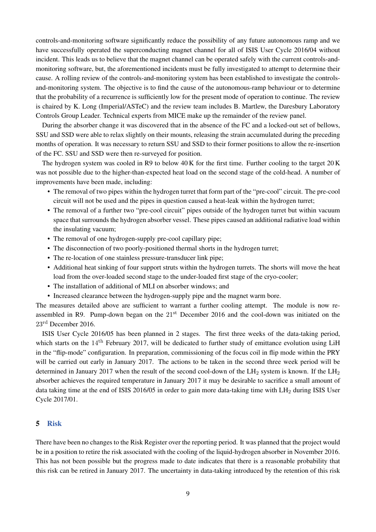controls-and-monitoring software significantly reduce the possibility of any future autonomous ramp and we have successfully operated the superconducting magnet channel for all of ISIS User Cycle 2016/04 without incident. This leads us to believe that the magnet channel can be operated safely with the current controls-andmonitoring software, but, the aforementioned incidents must be fully investigated to attempt to determine their cause. A rolling review of the controls-and-monitoring system has been established to investigate the controlsand-monitoring system. The objective is to find the cause of the autonomous-ramp behaviour or to determine that the probability of a recurrence is sufficiently low for the present mode of operation to continue. The review is chaired by K. Long (Imperial/ASTeC) and the review team includes B. Martlew, the Daresbury Laboratory Controls Group Leader. Technical experts from MICE make up the remainder of the review panel.

During the absorber change it was discovered that in the absence of the FC and a locked-out set of bellows, SSU and SSD were able to relax slightly on their mounts, releasing the strain accumulated during the preceding months of operation. It was necessary to return SSU and SSD to their former positions to allow the re-insertion of the FC. SSU and SSD were then re-surveyed for position.

The hydrogen system was cooled in R9 to below 40 K for the first time. Further cooling to the target 20 K was not possible due to the higher-than-expected heat load on the second stage of the cold-head. A number of improvements have been made, including:

- The removal of two pipes within the hydrogen turret that form part of the "pre-cool" circuit. The pre-cool circuit will not be used and the pipes in question caused a heat-leak within the hydrogen turret;
- The removal of a further two "pre-cool circuit" pipes outside of the hydrogen turret but within vacuum space that surrounds the hydrogen absorber vessel. These pipes caused an additional radiative load within the insulating vacuum;
- The removal of one hydrogen-supply pre-cool capillary pipe;
- The disconnection of two poorly-positioned thermal shorts in the hydrogen turret;
- The re-location of one stainless pressure-transducer link pipe;
- Additional heat sinking of four support struts within the hydrogen turrets. The shorts will move the heat load from the over-loaded second stage to the under-loaded first stage of the cryo-cooler;
- The installation of additional of MLI on absorber windows; and
- Increased clearance between the hydrogen-supply pipe and the magnet warm bore.

The measures detailed above are sufficient to warrant a further cooling attempt. The module is now reassembled in R9. Pump-down began on the 21<sup>st</sup> December 2016 and the cool-down was initiated on the 23rd December 2016.

ISIS User Cycle 2016/05 has been planned in 2 stages. The first three weeks of the data-taking period, which starts on the  $14<sup>th</sup>$  February 2017, will be dedicated to further study of emittance evolution using LiH in the "flip-mode" configuration. In preparation, commissioning of the focus coil in flip mode within the PRY will be carried out early in January 2017. The actions to be taken in the second three week period will be determined in January 2017 when the result of the second cool-down of the  $LH_2$  system is known. If the  $LH_2$ absorber achieves the required temperature in January 2017 it may be desirable to sacrifice a small amount of data taking time at the end of ISIS 2016/05 in order to gain more data-taking time with  $LH_2$  during ISIS User Cycle 2017/01.

#### 5 Risk

There have been no changes to the Risk Register over the reporting period. It was planned that the project would be in a position to retire the risk associated with the cooling of the liquid-hydrogen absorber in November 2016. This has not been possible but the progress made to date indicates that there is a reasonable probability that this risk can be retired in January 2017. The uncertainty in data-taking introduced by the retention of this risk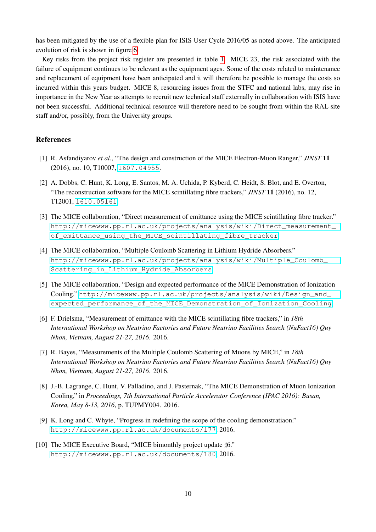has been mitigated by the use of a flexible plan for ISIS User Cycle 2016/05 as noted above. The anticipated evolution of risk is shown in figure [6.](#page-11-0)

Key risks from the project risk register are presented in table [1.](#page-12-0) MICE 23, the risk associated with the failure of equipment continues to be relevant as the equipment ages. Some of the costs related to maintenance and replacement of equipment have been anticipated and it will therefore be possible to manage the costs so incurred within this years budget. MICE 8, resourcing issues from the STFC and national labs, may rise in importance in the New Year as attempts to recruit new technical staff externally in collaboration with ISIS have not been successful. Additional technical resource will therefore need to be sought from within the RAL site staff and/or, possibly, from the University groups.

#### References

- <span id="page-9-0"></span>[1] R. Asfandiyarov *et al.*, "The design and construction of the MICE Electron-Muon Ranger," *JINST* 11 (2016), no. 10, T10007, [1607.04955](http://arXiv.org/abs/1607.04955).
- <span id="page-9-1"></span>[2] A. Dobbs, C. Hunt, K. Long, E. Santos, M. A. Uchida, P. Kyberd, C. Heidt, S. Blot, and E. Overton, "The reconstruction software for the MICE scintillating fibre trackers," *JINST* 11 (2016), no. 12, T12001, [1610.05161](http://arXiv.org/abs/1610.05161).
- <span id="page-9-2"></span>[3] The MICE collaboration, "Direct measurement of emittance using the MICE scintillating fibre tracker." [http://micewww.pp.rl.ac.uk/projects/analysis/wiki/Direct\\_measurement\\_](http://micewww.pp.rl.ac.uk/projects/analysis/wiki/Direct_measurement_of_emittance_using_the_MICE_scintillating_fibre_tracker) [of\\_emittance\\_using\\_the\\_MICE\\_scintillating\\_fibre\\_tracker](http://micewww.pp.rl.ac.uk/projects/analysis/wiki/Direct_measurement_of_emittance_using_the_MICE_scintillating_fibre_tracker).
- <span id="page-9-3"></span>[4] The MICE collaboration, "Multiple Coulomb Scattering in Lithium Hydride Absorbers." [http://micewww.pp.rl.ac.uk/projects/analysis/wiki/Multiple\\_Coulomb\\_](http://micewww.pp.rl.ac.uk/projects/analysis/wiki/Multiple_Coulomb_Scattering_in_Lithium_Hydride_Absorbers) [Scattering\\_in\\_Lithium\\_Hydride\\_Absorbers](http://micewww.pp.rl.ac.uk/projects/analysis/wiki/Multiple_Coulomb_Scattering_in_Lithium_Hydride_Absorbers).
- <span id="page-9-4"></span>[5] The MICE collaboration, "Design and expected performance of the MICE Demonstration of Ionization Cooling." [http://micewww.pp.rl.ac.uk/projects/analysis/wiki/Design\\_and\\_](http://micewww.pp.rl.ac.uk/projects/analysis/wiki/Design_and_expected_performance_of_the_MICE_Demonstration_of_Ionization_Cooling) [expected\\_performance\\_of\\_the\\_MICE\\_Demonstration\\_of\\_Ionization\\_Cooling](http://micewww.pp.rl.ac.uk/projects/analysis/wiki/Design_and_expected_performance_of_the_MICE_Demonstration_of_Ionization_Cooling).
- <span id="page-9-5"></span>[6] F. Drielsma, "Measurement of emittance with the MICE scintillating fibre trackers," in *18th International Workshop on Neutrino Factories and Future Neutrino Facilities Search (NuFact16) Quy Nhon, Vietnam, August 21-27, 2016*. 2016.
- [7] R. Bayes, "Measurements of the Multiple Coulomb Scattering of Muons by MICE," in *18th International Workshop on Neutrino Factories and Future Neutrino Facilities Search (NuFact16) Quy Nhon, Vietnam, August 21-27, 2016*. 2016.
- <span id="page-9-6"></span>[8] J.-B. Lagrange, C. Hunt, V. Palladino, and J. Pasternak, "The MICE Demonstration of Muon Ionization Cooling," in *Proceedings, 7th International Particle Accelerator Conference (IPAC 2016): Busan, Korea, May 8-13, 2016*, p. TUPMY004. 2016.
- <span id="page-9-7"></span>[9] K. Long and C. Whyte, "Progress in redefining the scope of the cooling demonstratiaon." <http://micewww.pp.rl.ac.uk/documents/177>, 2016.
- <span id="page-9-8"></span>[10] The MICE Executive Board, "MICE bimonthly project update  $\sharp 6$ ." <http://micewww.pp.rl.ac.uk/documents/180>, 2016.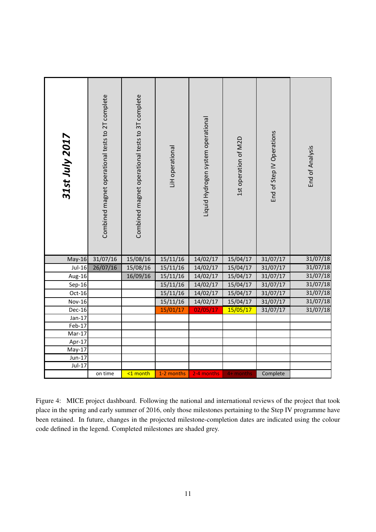| 31st July 2017       | Combined magnet operational tests to 2T complete | Combined magnet operational tests to 3T complete | LiH operational | Liquid Hydrogen system operational | 1st operation of M2D | End of Step IV Operations | End of Analysis |
|----------------------|--------------------------------------------------|--------------------------------------------------|-----------------|------------------------------------|----------------------|---------------------------|-----------------|
| $May-16$             | 31/07/16                                         | 15/08/16                                         | 15/11/16        | 14/02/17                           | 15/04/17             | 31/07/17                  | 31/07/18        |
| $Jul-16$             | 26/07/16                                         | 15/08/16                                         | 15/11/16        | 14/02/17                           | 15/04/17             | 31/07/17                  | 31/07/18        |
| Aug-16               |                                                  | 16/09/16                                         | 15/11/16        | 14/02/17                           | 15/04/17             | 31/07/17                  | 31/07/18        |
| $Sep-16$             |                                                  |                                                  | 15/11/16        | 14/02/17                           | 15/04/17             | 31/07/17                  | 31/07/18        |
| $Oct-16$             |                                                  |                                                  | 15/11/16        | 14/02/17                           | 15/04/17             | 31/07/17                  | 31/07/18        |
| <b>Nov-16</b>        |                                                  |                                                  | 15/11/16        | 14/02/17                           | 15/04/17             | 31/07/17                  | 31/07/18        |
| Dec-16               |                                                  |                                                  | 15/01/17        | 02/05/17                           | 15/05/17             | 31/07/17                  | 31/07/18        |
| $Jan-17$             |                                                  |                                                  |                 |                                    |                      |                           |                 |
| $Feb-17$<br>$Mar-17$ |                                                  |                                                  |                 |                                    |                      |                           |                 |
| $Apr-17$             |                                                  |                                                  |                 |                                    |                      |                           |                 |
| $May-17$             |                                                  |                                                  |                 |                                    |                      |                           |                 |
| $Jun-17$             |                                                  |                                                  |                 |                                    |                      |                           |                 |
| $Jul-17$             |                                                  |                                                  |                 |                                    |                      |                           |                 |
|                      | on time                                          | <1 month                                         | 1-2 months      | 2-4 months                         | 4+ months            | Complete                  |                 |

been retained. In future, changes in the projected milestone-completion dates are indicated using the colour place in the spring and early summer of 2016, only those milestones pertaining to the Step IV programme have Figure 4: MICE project dashboard. Following the national and international reviews of the project that took code defined in the legend. Completed milestones are shaded grey.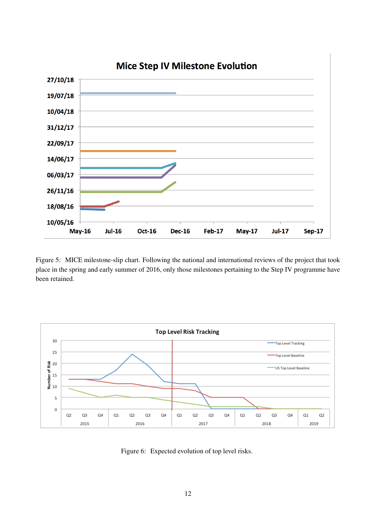

Figure 5: MICE milestone-slip chart. Following the national and international reviews of the project that took place in the spring and early summer of 2016, only those milestones pertaining to the Step IV programme have been retained.



<span id="page-11-0"></span>Figure 6: Expected evolution of top level risks.